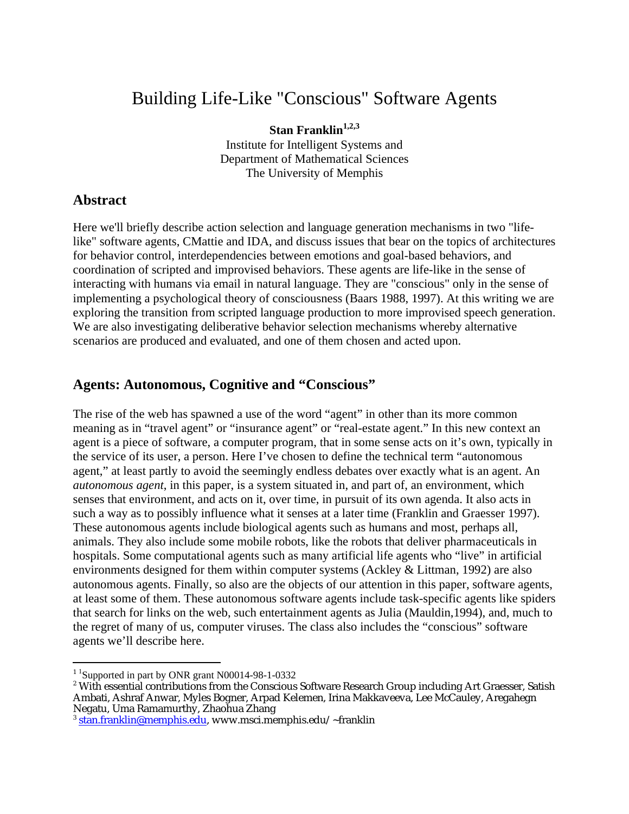# Building Life-Like "Conscious" Software Agents

**Stan Franklin1,2,3**

Institute for Intelligent Systems and Department of Mathematical Sciences The University of Memphis

#### **Abstract**

Here we'll briefly describe action selection and language generation mechanisms in two "lifelike" software agents, CMattie and IDA, and discuss issues that bear on the topics of architectures for behavior control, interdependencies between emotions and goal-based behaviors, and coordination of scripted and improvised behaviors. These agents are life-like in the sense of interacting with humans via email in natural language. They are "conscious" only in the sense of implementing a psychological theory of consciousness (Baars 1988, 1997). At this writing we are exploring the transition from scripted language production to more improvised speech generation. We are also investigating deliberative behavior selection mechanisms whereby alternative scenarios are produced and evaluated, and one of them chosen and acted upon.

#### **Agents: Autonomous, Cognitive and "Conscious"**

The rise of the web has spawned a use of the word "agent" in other than its more common meaning as in "travel agent" or "insurance agent" or "real-estate agent." In this new context an agent is a piece of software, a computer program, that in some sense acts on it's own, typically in the service of its user, a person. Here I've chosen to define the technical term "autonomous agent," at least partly to avoid the seemingly endless debates over exactly what is an agent. An *autonomous agent*, in this paper, is a system situated in, and part of, an environment, which senses that environment, and acts on it, over time, in pursuit of its own agenda. It also acts in such a way as to possibly influence what it senses at a later time (Franklin and Graesser 1997). These autonomous agents include biological agents such as humans and most, perhaps all, animals. They also include some mobile robots, like the robots that deliver pharmaceuticals in hospitals. Some computational agents such as many artificial life agents who "live" in artificial environments designed for them within computer systems (Ackley & Littman, 1992) are also autonomous agents. Finally, so also are the objects of our attention in this paper, software agents, at least some of them. These autonomous software agents include task-specific agents like spiders that search for links on the web, such entertainment agents as Julia (Mauldin,1994), and, much to the regret of many of us, computer viruses. The class also includes the "conscious" software agents we'll describe here.

 $\overline{a}$ 

 $1 \text{ }^{1}$ Supported in part by ONR grant N00014-98-1-0332

 $^{\rm z}$  With essential contributions from the Conscious Software Research Group including Art Graesser, Satish Ambati, Ashraf Anwar, Myles Bogner, Arpad Kelemen, Irina Makkaveeva, Lee McCauley, Aregahegn Negatu, Uma Ramamurthy, Zhaohua Zhang

<sup>3</sup> stan.franklin@memphis.edu, www.msci.memphis.edu/~franklin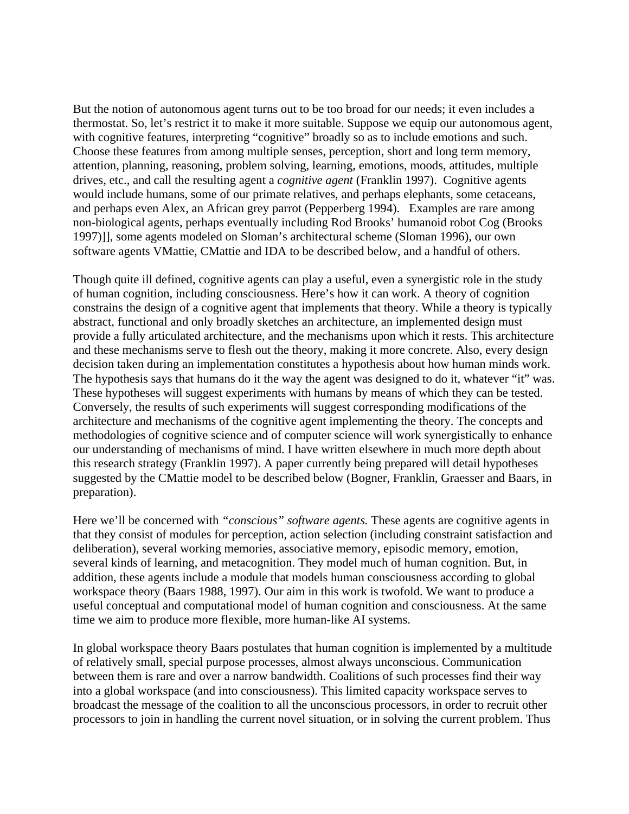But the notion of autonomous agent turns out to be too broad for our needs; it even includes a thermostat. So, let's restrict it to make it more suitable. Suppose we equip our autonomous agent, with cognitive features, interpreting "cognitive" broadly so as to include emotions and such. Choose these features from among multiple senses, perception, short and long term memory, attention, planning, reasoning, problem solving, learning, emotions, moods, attitudes, multiple drives, etc., and call the resulting agent a *cognitive agent* (Franklin 1997). Cognitive agents would include humans, some of our primate relatives, and perhaps elephants, some cetaceans, and perhaps even Alex, an African grey parrot (Pepperberg 1994). Examples are rare among non-biological agents, perhaps eventually including Rod Brooks' humanoid robot Cog (Brooks 1997)]], some agents modeled on Sloman's architectural scheme (Sloman 1996), our own software agents VMattie, CMattie and IDA to be described below, and a handful of others.

Though quite ill defined, cognitive agents can play a useful, even a synergistic role in the study of human cognition, including consciousness. Here's how it can work. A theory of cognition constrains the design of a cognitive agent that implements that theory. While a theory is typically abstract, functional and only broadly sketches an architecture, an implemented design must provide a fully articulated architecture, and the mechanisms upon which it rests. This architecture and these mechanisms serve to flesh out the theory, making it more concrete. Also, every design decision taken during an implementation constitutes a hypothesis about how human minds work. The hypothesis says that humans do it the way the agent was designed to do it, whatever "it" was. These hypotheses will suggest experiments with humans by means of which they can be tested. Conversely, the results of such experiments will suggest corresponding modifications of the architecture and mechanisms of the cognitive agent implementing the theory. The concepts and methodologies of cognitive science and of computer science will work synergistically to enhance our understanding of mechanisms of mind. I have written elsewhere in much more depth about this research strategy (Franklin 1997). A paper currently being prepared will detail hypotheses suggested by the CMattie model to be described below (Bogner, Franklin, Graesser and Baars, in preparation).

Here we'll be concerned with *"conscious" software agents.* These agents are cognitive agents in that they consist of modules for perception, action selection (including constraint satisfaction and deliberation), several working memories, associative memory, episodic memory, emotion, several kinds of learning, and metacognition. They model much of human cognition. But, in addition, these agents include a module that models human consciousness according to global workspace theory (Baars 1988, 1997). Our aim in this work is twofold. We want to produce a useful conceptual and computational model of human cognition and consciousness. At the same time we aim to produce more flexible, more human-like AI systems.

In global workspace theory Baars postulates that human cognition is implemented by a multitude of relatively small, special purpose processes, almost always unconscious. Communication between them is rare and over a narrow bandwidth. Coalitions of such processes find their way into a global workspace (and into consciousness). This limited capacity workspace serves to broadcast the message of the coalition to all the unconscious processors, in order to recruit other processors to join in handling the current novel situation, or in solving the current problem. Thus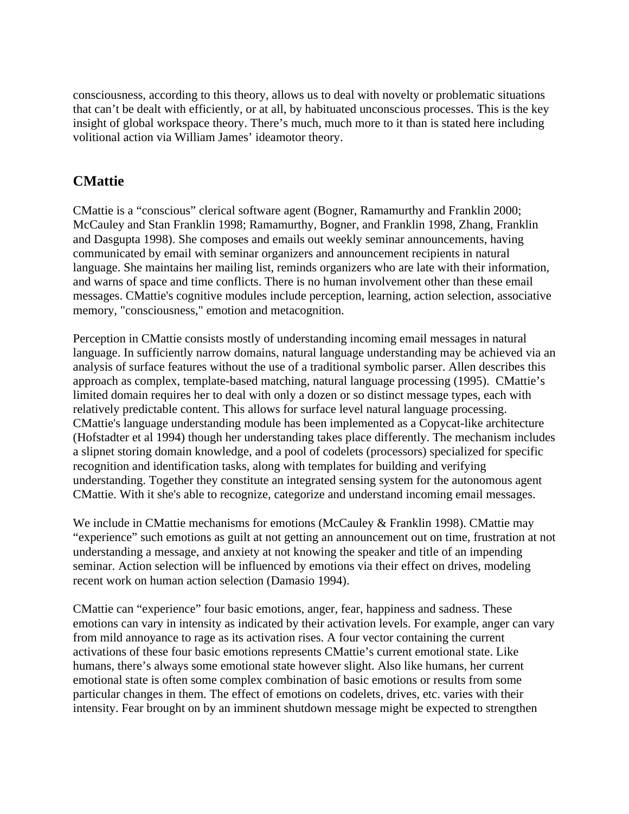consciousness, according to this theory, allows us to deal with novelty or problematic situations that can't be dealt with efficiently, or at all, by habituated unconscious processes. This is the key insight of global workspace theory. There's much, much more to it than is stated here including volitional action via William James' ideamotor theory.

## **CMattie**

CMattie is a "conscious" clerical software agent (Bogner, Ramamurthy and Franklin 2000; McCauley and Stan Franklin 1998; Ramamurthy, Bogner, and Franklin 1998, Zhang, Franklin and Dasgupta 1998). She composes and emails out weekly seminar announcements, having communicated by email with seminar organizers and announcement recipients in natural language. She maintains her mailing list, reminds organizers who are late with their information, and warns of space and time conflicts. There is no human involvement other than these email messages. CMattie's cognitive modules include perception, learning, action selection, associative memory, "consciousness," emotion and metacognition.

Perception in CMattie consists mostly of understanding incoming email messages in natural language. In sufficiently narrow domains, natural language understanding may be achieved via an analysis of surface features without the use of a traditional symbolic parser. Allen describes this approach as complex, template-based matching, natural language processing (1995). CMattie's limited domain requires her to deal with only a dozen or so distinct message types, each with relatively predictable content. This allows for surface level natural language processing. CMattie's language understanding module has been implemented as a Copycat-like architecture (Hofstadter et al 1994) though her understanding takes place differently. The mechanism includes a slipnet storing domain knowledge, and a pool of codelets (processors) specialized for specific recognition and identification tasks, along with templates for building and verifying understanding. Together they constitute an integrated sensing system for the autonomous agent CMattie. With it she's able to recognize, categorize and understand incoming email messages.

We include in CMattie mechanisms for emotions (McCauley & Franklin 1998). CMattie may "experience" such emotions as guilt at not getting an announcement out on time, frustration at not understanding a message, and anxiety at not knowing the speaker and title of an impending seminar. Action selection will be influenced by emotions via their effect on drives, modeling recent work on human action selection (Damasio 1994).

CMattie can "experience" four basic emotions, anger, fear, happiness and sadness. These emotions can vary in intensity as indicated by their activation levels. For example, anger can vary from mild annoyance to rage as its activation rises. A four vector containing the current activations of these four basic emotions represents CMattie's current emotional state. Like humans, there's always some emotional state however slight. Also like humans, her current emotional state is often some complex combination of basic emotions or results from some particular changes in them. The effect of emotions on codelets, drives, etc. varies with their intensity. Fear brought on by an imminent shutdown message might be expected to strengthen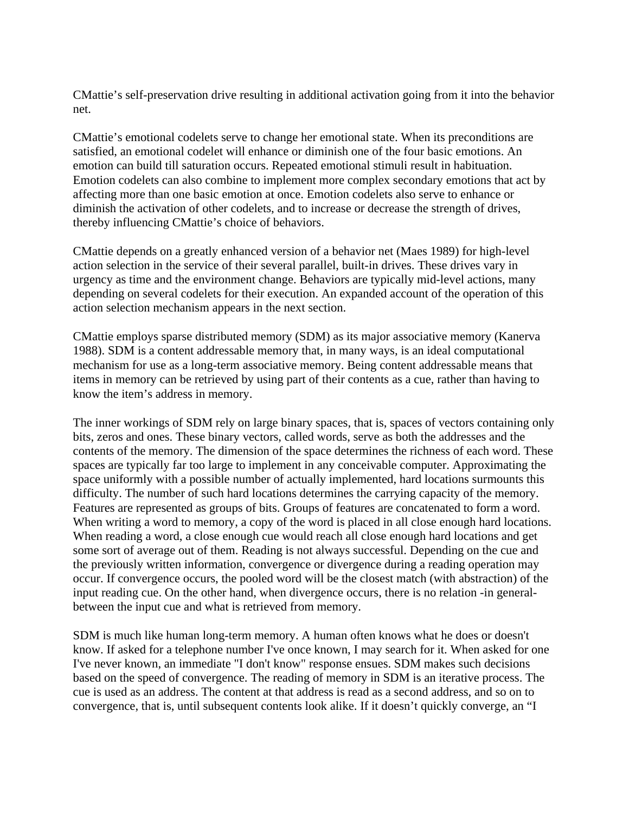CMattie's self-preservation drive resulting in additional activation going from it into the behavior net.

CMattie's emotional codelets serve to change her emotional state. When its preconditions are satisfied, an emotional codelet will enhance or diminish one of the four basic emotions. An emotion can build till saturation occurs. Repeated emotional stimuli result in habituation. Emotion codelets can also combine to implement more complex secondary emotions that act by affecting more than one basic emotion at once. Emotion codelets also serve to enhance or diminish the activation of other codelets, and to increase or decrease the strength of drives, thereby influencing CMattie's choice of behaviors.

CMattie depends on a greatly enhanced version of a behavior net (Maes 1989) for high-level action selection in the service of their several parallel, built-in drives. These drives vary in urgency as time and the environment change. Behaviors are typically mid-level actions, many depending on several codelets for their execution. An expanded account of the operation of this action selection mechanism appears in the next section.

CMattie employs sparse distributed memory (SDM) as its major associative memory (Kanerva 1988). SDM is a content addressable memory that, in many ways, is an ideal computational mechanism for use as a long-term associative memory. Being content addressable means that items in memory can be retrieved by using part of their contents as a cue, rather than having to know the item's address in memory.

The inner workings of SDM rely on large binary spaces, that is, spaces of vectors containing only bits, zeros and ones. These binary vectors, called words, serve as both the addresses and the contents of the memory. The dimension of the space determines the richness of each word. These spaces are typically far too large to implement in any conceivable computer. Approximating the space uniformly with a possible number of actually implemented, hard locations surmounts this difficulty. The number of such hard locations determines the carrying capacity of the memory. Features are represented as groups of bits. Groups of features are concatenated to form a word. When writing a word to memory, a copy of the word is placed in all close enough hard locations. When reading a word, a close enough cue would reach all close enough hard locations and get some sort of average out of them. Reading is not always successful. Depending on the cue and the previously written information, convergence or divergence during a reading operation may occur. If convergence occurs, the pooled word will be the closest match (with abstraction) of the input reading cue. On the other hand, when divergence occurs, there is no relation -in generalbetween the input cue and what is retrieved from memory.

SDM is much like human long-term memory. A human often knows what he does or doesn't know. If asked for a telephone number I've once known, I may search for it. When asked for one I've never known, an immediate "I don't know" response ensues. SDM makes such decisions based on the speed of convergence. The reading of memory in SDM is an iterative process. The cue is used as an address. The content at that address is read as a second address, and so on to convergence, that is, until subsequent contents look alike. If it doesn't quickly converge, an "I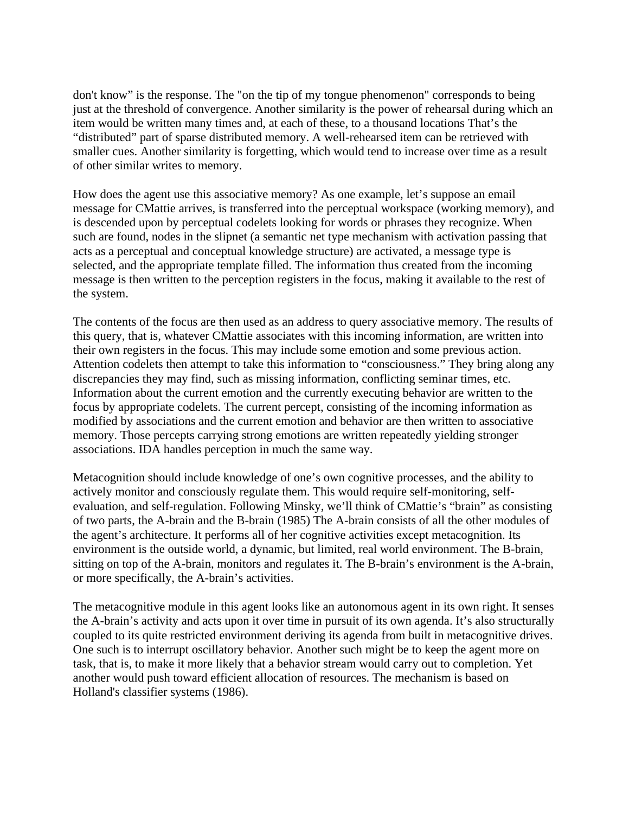don't know" is the response. The "on the tip of my tongue phenomenon" corresponds to being just at the threshold of convergence. Another similarity is the power of rehearsal during which an item would be written many times and, at each of these, to a thousand locations That's the "distributed" part of sparse distributed memory. A well-rehearsed item can be retrieved with smaller cues. Another similarity is forgetting, which would tend to increase over time as a result of other similar writes to memory.

How does the agent use this associative memory? As one example, let's suppose an email message for CMattie arrives, is transferred into the perceptual workspace (working memory), and is descended upon by perceptual codelets looking for words or phrases they recognize. When such are found, nodes in the slipnet (a semantic net type mechanism with activation passing that acts as a perceptual and conceptual knowledge structure) are activated, a message type is selected, and the appropriate template filled. The information thus created from the incoming message is then written to the perception registers in the focus, making it available to the rest of the system.

The contents of the focus are then used as an address to query associative memory. The results of this query, that is, whatever CMattie associates with this incoming information, are written into their own registers in the focus. This may include some emotion and some previous action. Attention codelets then attempt to take this information to "consciousness." They bring along any discrepancies they may find, such as missing information, conflicting seminar times, etc. Information about the current emotion and the currently executing behavior are written to the focus by appropriate codelets. The current percept, consisting of the incoming information as modified by associations and the current emotion and behavior are then written to associative memory. Those percepts carrying strong emotions are written repeatedly yielding stronger associations. IDA handles perception in much the same way.

Metacognition should include knowledge of one's own cognitive processes, and the ability to actively monitor and consciously regulate them. This would require self-monitoring, selfevaluation, and self-regulation. Following Minsky, we'll think of CMattie's "brain" as consisting of two parts, the A-brain and the B-brain (1985) The A-brain consists of all the other modules of the agent's architecture. It performs all of her cognitive activities except metacognition. Its environment is the outside world, a dynamic, but limited, real world environment. The B-brain, sitting on top of the A-brain, monitors and regulates it. The B-brain's environment is the A-brain, or more specifically, the A-brain's activities.

The metacognitive module in this agent looks like an autonomous agent in its own right. It senses the A-brain's activity and acts upon it over time in pursuit of its own agenda. It's also structurally coupled to its quite restricted environment deriving its agenda from built in metacognitive drives. One such is to interrupt oscillatory behavior. Another such might be to keep the agent more on task, that is, to make it more likely that a behavior stream would carry out to completion. Yet another would push toward efficient allocation of resources. The mechanism is based on Holland's classifier systems (1986).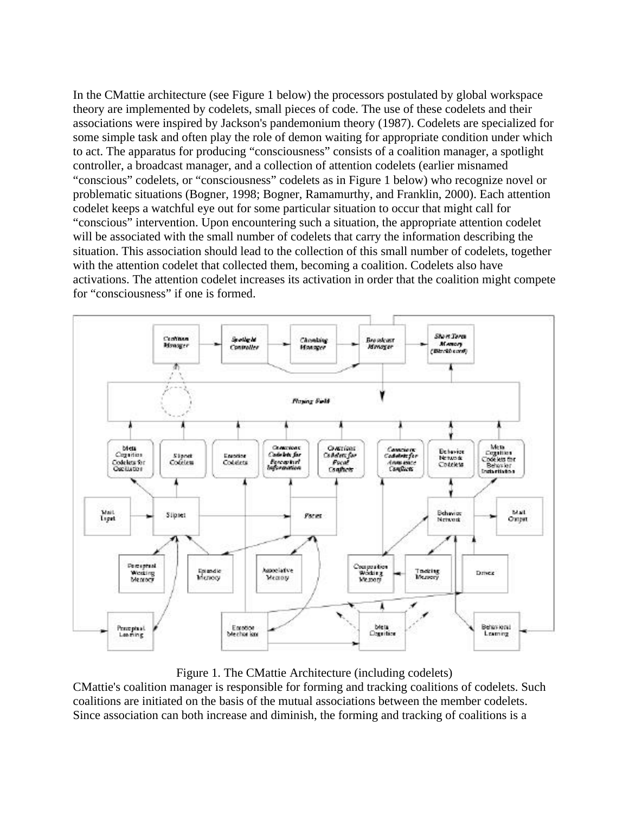In the CMattie architecture (see Figure 1 below) the processors postulated by global workspace theory are implemented by codelets, small pieces of code. The use of these codelets and their associations were inspired by Jackson's pandemonium theory (1987). Codelets are specialized for some simple task and often play the role of demon waiting for appropriate condition under which to act. The apparatus for producing "consciousness" consists of a coalition manager, a spotlight controller, a broadcast manager, and a collection of attention codelets (earlier misnamed "conscious" codelets, or "consciousness" codelets as in Figure 1 below) who recognize novel or problematic situations (Bogner, 1998; Bogner, Ramamurthy, and Franklin, 2000). Each attention codelet keeps a watchful eye out for some particular situation to occur that might call for "conscious" intervention. Upon encountering such a situation, the appropriate attention codelet will be associated with the small number of codelets that carry the information describing the situation. This association should lead to the collection of this small number of codelets, together with the attention codelet that collected them, becoming a coalition. Codelets also have activations. The attention codelet increases its activation in order that the coalition might compete for "consciousness" if one is formed.



Figure 1. The CMattie Architecture (including codelets)

CMattie's coalition manager is responsible for forming and tracking coalitions of codelets. Such coalitions are initiated on the basis of the mutual associations between the member codelets. Since association can both increase and diminish, the forming and tracking of coalitions is a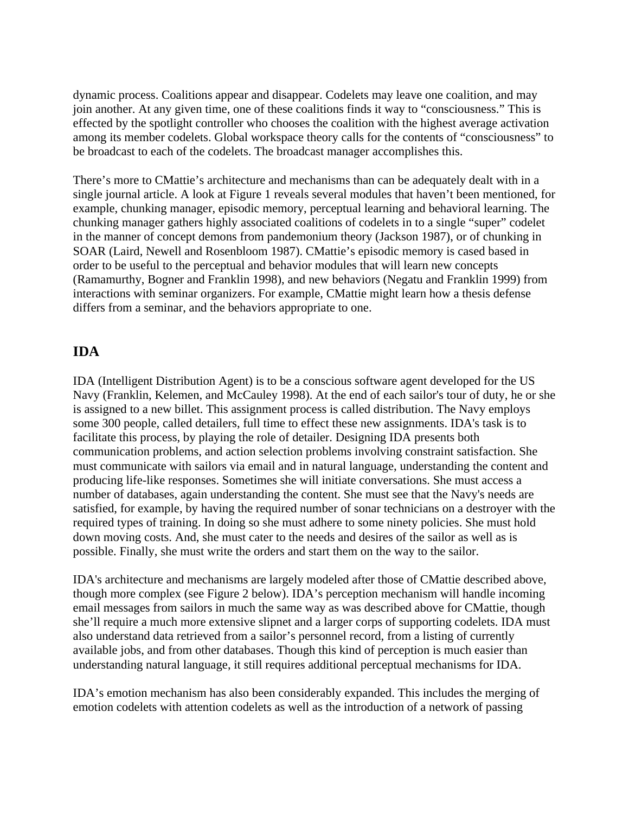dynamic process. Coalitions appear and disappear. Codelets may leave one coalition, and may join another. At any given time, one of these coalitions finds it way to "consciousness." This is effected by the spotlight controller who chooses the coalition with the highest average activation among its member codelets. Global workspace theory calls for the contents of "consciousness" to be broadcast to each of the codelets. The broadcast manager accomplishes this.

There's more to CMattie's architecture and mechanisms than can be adequately dealt with in a single journal article. A look at Figure 1 reveals several modules that haven't been mentioned, for example, chunking manager, episodic memory, perceptual learning and behavioral learning. The chunking manager gathers highly associated coalitions of codelets in to a single "super" codelet in the manner of concept demons from pandemonium theory (Jackson 1987), or of chunking in SOAR (Laird, Newell and Rosenbloom 1987). CMattie's episodic memory is cased based in order to be useful to the perceptual and behavior modules that will learn new concepts (Ramamurthy, Bogner and Franklin 1998), and new behaviors (Negatu and Franklin 1999) from interactions with seminar organizers. For example, CMattie might learn how a thesis defense differs from a seminar, and the behaviors appropriate to one.

#### **IDA**

IDA (Intelligent Distribution Agent) is to be a conscious software agent developed for the US Navy (Franklin, Kelemen, and McCauley 1998). At the end of each sailor's tour of duty, he or she is assigned to a new billet. This assignment process is called distribution. The Navy employs some 300 people, called detailers, full time to effect these new assignments. IDA's task is to facilitate this process, by playing the role of detailer. Designing IDA presents both communication problems, and action selection problems involving constraint satisfaction. She must communicate with sailors via email and in natural language, understanding the content and producing life-like responses. Sometimes she will initiate conversations. She must access a number of databases, again understanding the content. She must see that the Navy's needs are satisfied, for example, by having the required number of sonar technicians on a destroyer with the required types of training. In doing so she must adhere to some ninety policies. She must hold down moving costs. And, she must cater to the needs and desires of the sailor as well as is possible. Finally, she must write the orders and start them on the way to the sailor.

IDA's architecture and mechanisms are largely modeled after those of CMattie described above, though more complex (see Figure 2 below). IDA's perception mechanism will handle incoming email messages from sailors in much the same way as was described above for CMattie, though she'll require a much more extensive slipnet and a larger corps of supporting codelets. IDA must also understand data retrieved from a sailor's personnel record, from a listing of currently available jobs, and from other databases. Though this kind of perception is much easier than understanding natural language, it still requires additional perceptual mechanisms for IDA.

IDA's emotion mechanism has also been considerably expanded. This includes the merging of emotion codelets with attention codelets as well as the introduction of a network of passing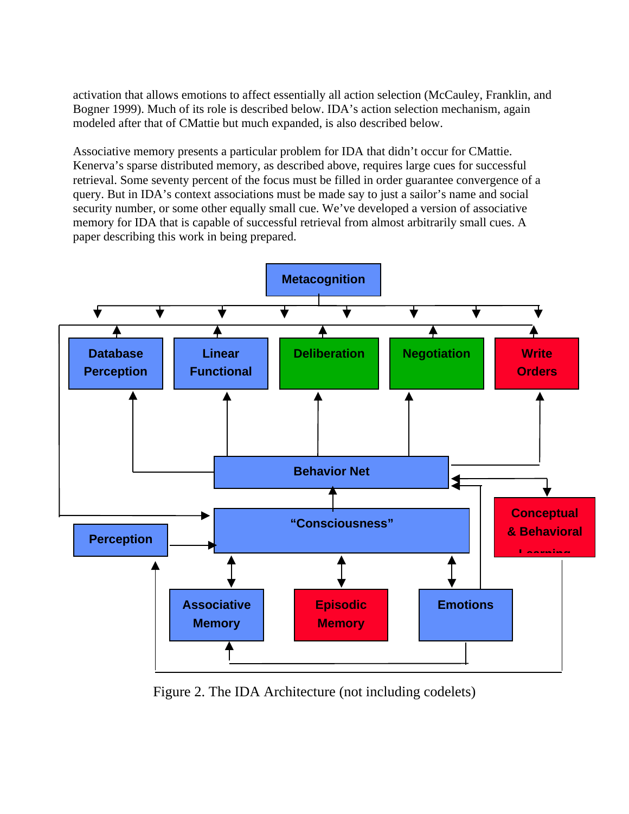activation that allows emotions to affect essentially all action selection (McCauley, Franklin, and Bogner 1999). Much of its role is described below. IDA's action selection mechanism, again modeled after that of CMattie but much expanded, is also described below.

Associative memory presents a particular problem for IDA that didn't occur for CMattie. Kenerva's sparse distributed memory, as described above, requires large cues for successful retrieval. Some seventy percent of the focus must be filled in order guarantee convergence of a query. But in IDA's context associations must be made say to just a sailor's name and social security number, or some other equally small cue. We've developed a version of associative memory for IDA that is capable of successful retrieval from almost arbitrarily small cues. A paper describing this work in being prepared.



Figure 2. The IDA Architecture (not including codelets)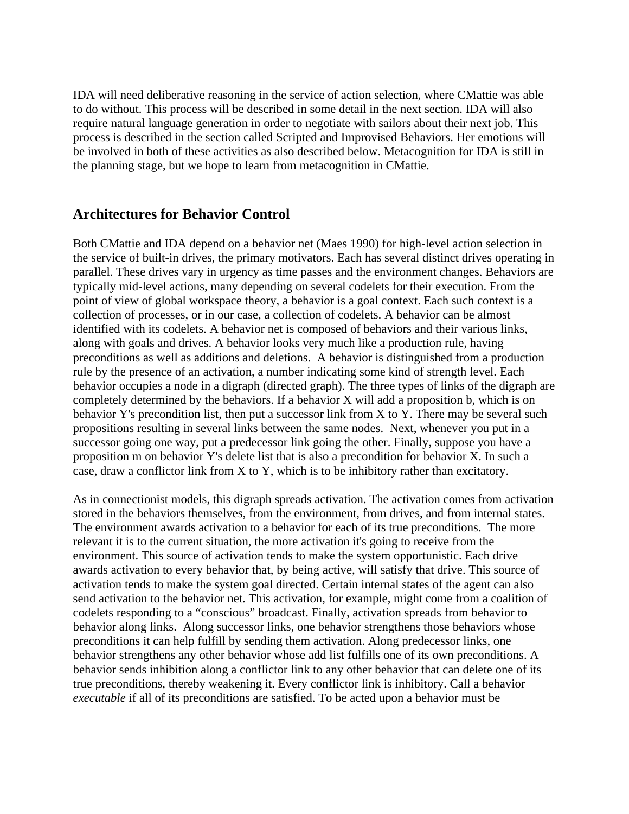IDA will need deliberative reasoning in the service of action selection, where CMattie was able to do without. This process will be described in some detail in the next section. IDA will also require natural language generation in order to negotiate with sailors about their next job. This process is described in the section called Scripted and Improvised Behaviors. Her emotions will be involved in both of these activities as also described below. Metacognition for IDA is still in the planning stage, but we hope to learn from metacognition in CMattie.

### **Architectures for Behavior Control**

Both CMattie and IDA depend on a behavior net (Maes 1990) for high-level action selection in the service of built-in drives, the primary motivators. Each has several distinct drives operating in parallel. These drives vary in urgency as time passes and the environment changes. Behaviors are typically mid-level actions, many depending on several codelets for their execution. From the point of view of global workspace theory, a behavior is a goal context. Each such context is a collection of processes, or in our case, a collection of codelets. A behavior can be almost identified with its codelets. A behavior net is composed of behaviors and their various links, along with goals and drives. A behavior looks very much like a production rule, having preconditions as well as additions and deletions. A behavior is distinguished from a production rule by the presence of an activation, a number indicating some kind of strength level. Each behavior occupies a node in a digraph (directed graph). The three types of links of the digraph are completely determined by the behaviors. If a behavior X will add a proposition b, which is on behavior Y's precondition list, then put a successor link from X to Y. There may be several such propositions resulting in several links between the same nodes. Next, whenever you put in a successor going one way, put a predecessor link going the other. Finally, suppose you have a proposition m on behavior Y's delete list that is also a precondition for behavior X. In such a case, draw a conflictor link from X to Y, which is to be inhibitory rather than excitatory.

As in connectionist models, this digraph spreads activation. The activation comes from activation stored in the behaviors themselves, from the environment, from drives, and from internal states. The environment awards activation to a behavior for each of its true preconditions. The more relevant it is to the current situation, the more activation it's going to receive from the environment. This source of activation tends to make the system opportunistic. Each drive awards activation to every behavior that, by being active, will satisfy that drive. This source of activation tends to make the system goal directed. Certain internal states of the agent can also send activation to the behavior net. This activation, for example, might come from a coalition of codelets responding to a "conscious" broadcast. Finally, activation spreads from behavior to behavior along links. Along successor links, one behavior strengthens those behaviors whose preconditions it can help fulfill by sending them activation. Along predecessor links, one behavior strengthens any other behavior whose add list fulfills one of its own preconditions. A behavior sends inhibition along a conflictor link to any other behavior that can delete one of its true preconditions, thereby weakening it. Every conflictor link is inhibitory. Call a behavior *executable* if all of its preconditions are satisfied. To be acted upon a behavior must be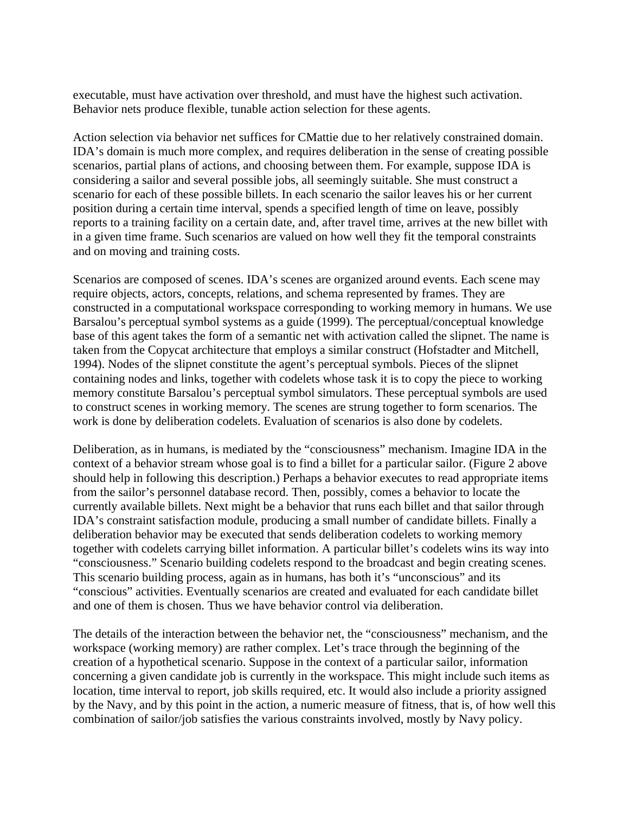executable, must have activation over threshold, and must have the highest such activation. Behavior nets produce flexible, tunable action selection for these agents.

Action selection via behavior net suffices for CMattie due to her relatively constrained domain. IDA's domain is much more complex, and requires deliberation in the sense of creating possible scenarios, partial plans of actions, and choosing between them. For example, suppose IDA is considering a sailor and several possible jobs, all seemingly suitable. She must construct a scenario for each of these possible billets. In each scenario the sailor leaves his or her current position during a certain time interval, spends a specified length of time on leave, possibly reports to a training facility on a certain date, and, after travel time, arrives at the new billet with in a given time frame. Such scenarios are valued on how well they fit the temporal constraints and on moving and training costs.

Scenarios are composed of scenes. IDA's scenes are organized around events. Each scene may require objects, actors, concepts, relations, and schema represented by frames. They are constructed in a computational workspace corresponding to working memory in humans. We use Barsalou's perceptual symbol systems as a guide (1999). The perceptual/conceptual knowledge base of this agent takes the form of a semantic net with activation called the slipnet. The name is taken from the Copycat architecture that employs a similar construct (Hofstadter and Mitchell, 1994). Nodes of the slipnet constitute the agent's perceptual symbols. Pieces of the slipnet containing nodes and links, together with codelets whose task it is to copy the piece to working memory constitute Barsalou's perceptual symbol simulators. These perceptual symbols are used to construct scenes in working memory. The scenes are strung together to form scenarios. The work is done by deliberation codelets. Evaluation of scenarios is also done by codelets.

Deliberation, as in humans, is mediated by the "consciousness" mechanism. Imagine IDA in the context of a behavior stream whose goal is to find a billet for a particular sailor. (Figure 2 above should help in following this description.) Perhaps a behavior executes to read appropriate items from the sailor's personnel database record. Then, possibly, comes a behavior to locate the currently available billets. Next might be a behavior that runs each billet and that sailor through IDA's constraint satisfaction module, producing a small number of candidate billets. Finally a deliberation behavior may be executed that sends deliberation codelets to working memory together with codelets carrying billet information. A particular billet's codelets wins its way into "consciousness." Scenario building codelets respond to the broadcast and begin creating scenes. This scenario building process, again as in humans, has both it's "unconscious" and its "conscious" activities. Eventually scenarios are created and evaluated for each candidate billet and one of them is chosen. Thus we have behavior control via deliberation.

The details of the interaction between the behavior net, the "consciousness" mechanism, and the workspace (working memory) are rather complex. Let's trace through the beginning of the creation of a hypothetical scenario. Suppose in the context of a particular sailor, information concerning a given candidate job is currently in the workspace. This might include such items as location, time interval to report, job skills required, etc. It would also include a priority assigned by the Navy, and by this point in the action, a numeric measure of fitness, that is, of how well this combination of sailor/job satisfies the various constraints involved, mostly by Navy policy.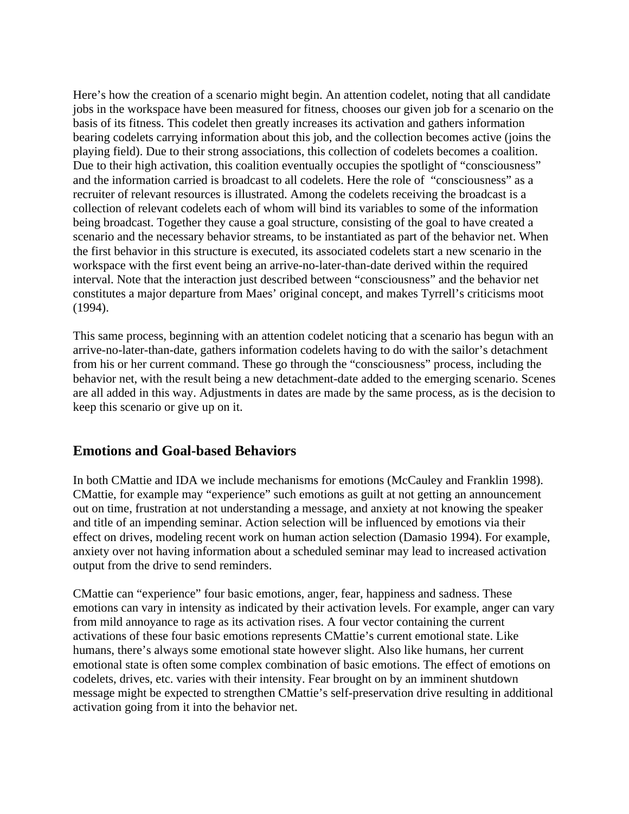Here's how the creation of a scenario might begin. An attention codelet, noting that all candidate jobs in the workspace have been measured for fitness, chooses our given job for a scenario on the basis of its fitness. This codelet then greatly increases its activation and gathers information bearing codelets carrying information about this job, and the collection becomes active (joins the playing field). Due to their strong associations, this collection of codelets becomes a coalition. Due to their high activation, this coalition eventually occupies the spotlight of "consciousness" and the information carried is broadcast to all codelets. Here the role of "consciousness" as a recruiter of relevant resources is illustrated. Among the codelets receiving the broadcast is a collection of relevant codelets each of whom will bind its variables to some of the information being broadcast. Together they cause a goal structure, consisting of the goal to have created a scenario and the necessary behavior streams, to be instantiated as part of the behavior net. When the first behavior in this structure is executed, its associated codelets start a new scenario in the workspace with the first event being an arrive-no-later-than-date derived within the required interval. Note that the interaction just described between "consciousness" and the behavior net constitutes a major departure from Maes' original concept, and makes Tyrrell's criticisms moot (1994).

This same process, beginning with an attention codelet noticing that a scenario has begun with an arrive-no-later-than-date, gathers information codelets having to do with the sailor's detachment from his or her current command. These go through the "consciousness" process, including the behavior net, with the result being a new detachment-date added to the emerging scenario. Scenes are all added in this way. Adjustments in dates are made by the same process, as is the decision to keep this scenario or give up on it.

# **Emotions and Goal-based Behaviors**

In both CMattie and IDA we include mechanisms for emotions (McCauley and Franklin 1998). CMattie, for example may "experience" such emotions as guilt at not getting an announcement out on time, frustration at not understanding a message, and anxiety at not knowing the speaker and title of an impending seminar. Action selection will be influenced by emotions via their effect on drives, modeling recent work on human action selection (Damasio 1994). For example, anxiety over not having information about a scheduled seminar may lead to increased activation output from the drive to send reminders.

CMattie can "experience" four basic emotions, anger, fear, happiness and sadness. These emotions can vary in intensity as indicated by their activation levels. For example, anger can vary from mild annoyance to rage as its activation rises. A four vector containing the current activations of these four basic emotions represents CMattie's current emotional state. Like humans, there's always some emotional state however slight. Also like humans, her current emotional state is often some complex combination of basic emotions. The effect of emotions on codelets, drives, etc. varies with their intensity. Fear brought on by an imminent shutdown message might be expected to strengthen CMattie's self-preservation drive resulting in additional activation going from it into the behavior net.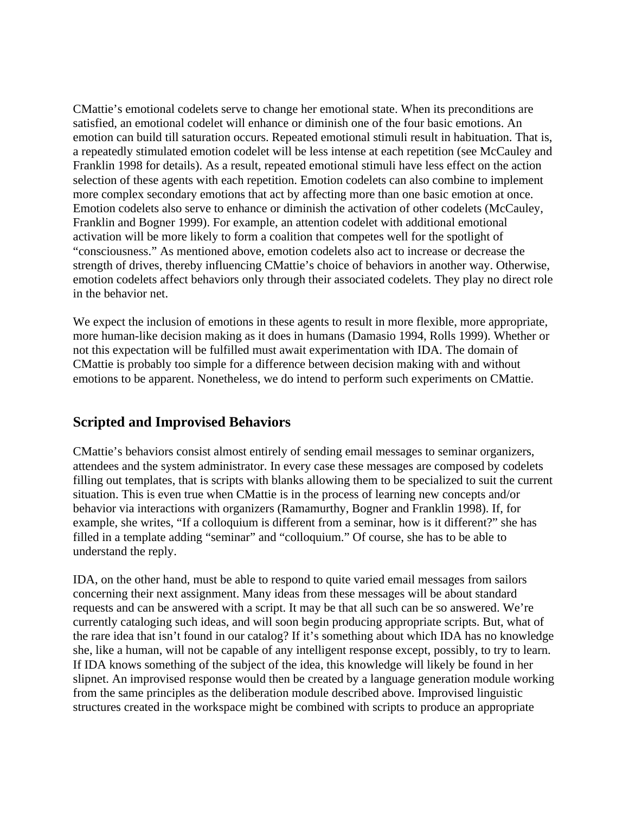CMattie's emotional codelets serve to change her emotional state. When its preconditions are satisfied, an emotional codelet will enhance or diminish one of the four basic emotions. An emotion can build till saturation occurs. Repeated emotional stimuli result in habituation. That is, a repeatedly stimulated emotion codelet will be less intense at each repetition (see McCauley and Franklin 1998 for details). As a result, repeated emotional stimuli have less effect on the action selection of these agents with each repetition. Emotion codelets can also combine to implement more complex secondary emotions that act by affecting more than one basic emotion at once. Emotion codelets also serve to enhance or diminish the activation of other codelets (McCauley, Franklin and Bogner 1999). For example, an attention codelet with additional emotional activation will be more likely to form a coalition that competes well for the spotlight of "consciousness." As mentioned above, emotion codelets also act to increase or decrease the strength of drives, thereby influencing CMattie's choice of behaviors in another way. Otherwise, emotion codelets affect behaviors only through their associated codelets. They play no direct role in the behavior net.

We expect the inclusion of emotions in these agents to result in more flexible, more appropriate, more human-like decision making as it does in humans (Damasio 1994, Rolls 1999). Whether or not this expectation will be fulfilled must await experimentation with IDA. The domain of CMattie is probably too simple for a difference between decision making with and without emotions to be apparent. Nonetheless, we do intend to perform such experiments on CMattie.

# **Scripted and Improvised Behaviors**

CMattie's behaviors consist almost entirely of sending email messages to seminar organizers, attendees and the system administrator. In every case these messages are composed by codelets filling out templates, that is scripts with blanks allowing them to be specialized to suit the current situation. This is even true when CMattie is in the process of learning new concepts and/or behavior via interactions with organizers (Ramamurthy, Bogner and Franklin 1998). If, for example, she writes, "If a colloquium is different from a seminar, how is it different?" she has filled in a template adding "seminar" and "colloquium." Of course, she has to be able to understand the reply.

IDA, on the other hand, must be able to respond to quite varied email messages from sailors concerning their next assignment. Many ideas from these messages will be about standard requests and can be answered with a script. It may be that all such can be so answered. We're currently cataloging such ideas, and will soon begin producing appropriate scripts. But, what of the rare idea that isn't found in our catalog? If it's something about which IDA has no knowledge she, like a human, will not be capable of any intelligent response except, possibly, to try to learn. If IDA knows something of the subject of the idea, this knowledge will likely be found in her slipnet. An improvised response would then be created by a language generation module working from the same principles as the deliberation module described above. Improvised linguistic structures created in the workspace might be combined with scripts to produce an appropriate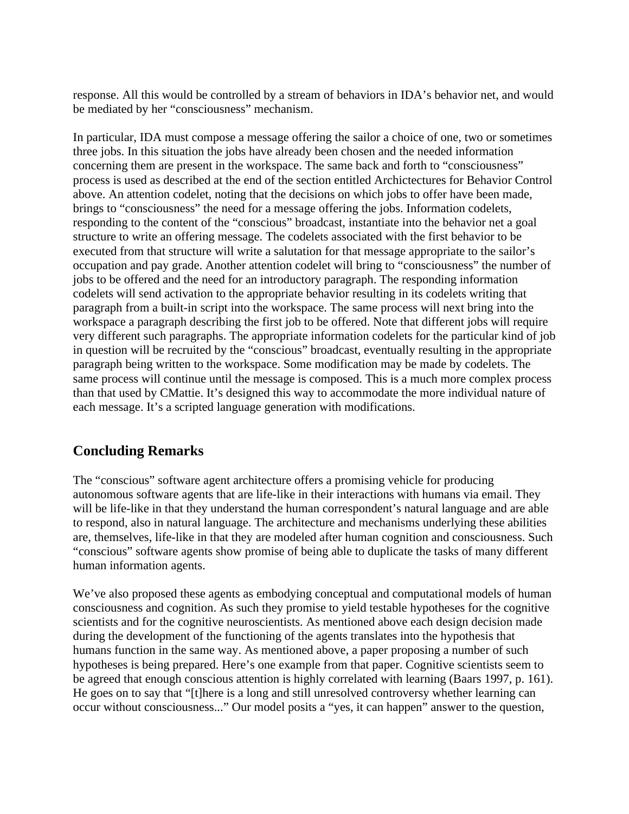response. All this would be controlled by a stream of behaviors in IDA's behavior net, and would be mediated by her "consciousness" mechanism.

In particular, IDA must compose a message offering the sailor a choice of one, two or sometimes three jobs. In this situation the jobs have already been chosen and the needed information concerning them are present in the workspace. The same back and forth to "consciousness" process is used as described at the end of the section entitled Archictectures for Behavior Control above. An attention codelet, noting that the decisions on which jobs to offer have been made, brings to "consciousness" the need for a message offering the jobs. Information codelets, responding to the content of the "conscious" broadcast, instantiate into the behavior net a goal structure to write an offering message. The codelets associated with the first behavior to be executed from that structure will write a salutation for that message appropriate to the sailor's occupation and pay grade. Another attention codelet will bring to "consciousness" the number of jobs to be offered and the need for an introductory paragraph. The responding information codelets will send activation to the appropriate behavior resulting in its codelets writing that paragraph from a built-in script into the workspace. The same process will next bring into the workspace a paragraph describing the first job to be offered. Note that different jobs will require very different such paragraphs. The appropriate information codelets for the particular kind of job in question will be recruited by the "conscious" broadcast, eventually resulting in the appropriate paragraph being written to the workspace. Some modification may be made by codelets. The same process will continue until the message is composed. This is a much more complex process than that used by CMattie. It's designed this way to accommodate the more individual nature of each message. It's a scripted language generation with modifications.

# **Concluding Remarks**

The "conscious" software agent architecture offers a promising vehicle for producing autonomous software agents that are life-like in their interactions with humans via email. They will be life-like in that they understand the human correspondent's natural language and are able to respond, also in natural language. The architecture and mechanisms underlying these abilities are, themselves, life-like in that they are modeled after human cognition and consciousness. Such "conscious" software agents show promise of being able to duplicate the tasks of many different human information agents.

We've also proposed these agents as embodying conceptual and computational models of human consciousness and cognition. As such they promise to yield testable hypotheses for the cognitive scientists and for the cognitive neuroscientists. As mentioned above each design decision made during the development of the functioning of the agents translates into the hypothesis that humans function in the same way. As mentioned above, a paper proposing a number of such hypotheses is being prepared. Here's one example from that paper. Cognitive scientists seem to be agreed that enough conscious attention is highly correlated with learning (Baars 1997, p. 161). He goes on to say that "[t]here is a long and still unresolved controversy whether learning can occur without consciousness..." Our model posits a "yes, it can happen" answer to the question,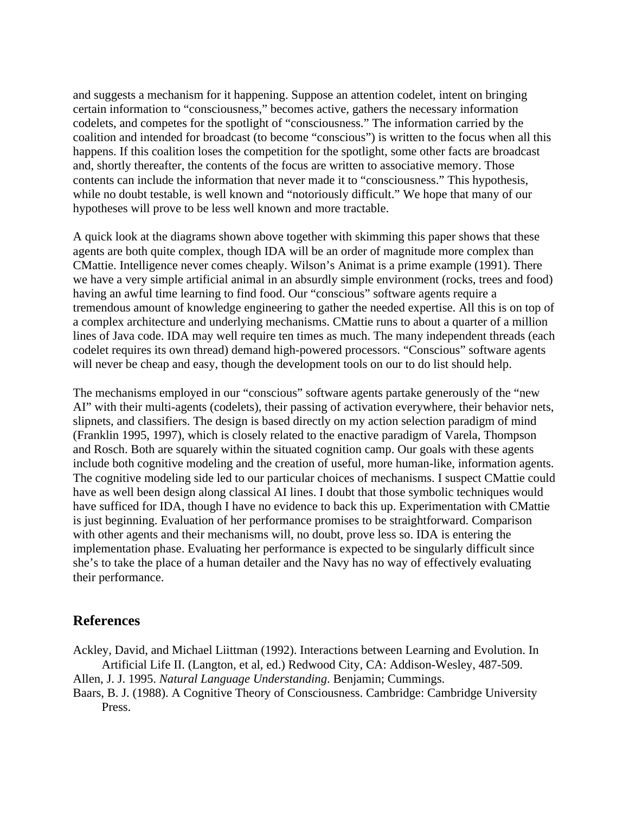and suggests a mechanism for it happening. Suppose an attention codelet, intent on bringing certain information to "consciousness," becomes active, gathers the necessary information codelets, and competes for the spotlight of "consciousness." The information carried by the coalition and intended for broadcast (to become "conscious") is written to the focus when all this happens. If this coalition loses the competition for the spotlight, some other facts are broadcast and, shortly thereafter, the contents of the focus are written to associative memory. Those contents can include the information that never made it to "consciousness." This hypothesis, while no doubt testable, is well known and "notoriously difficult." We hope that many of our hypotheses will prove to be less well known and more tractable.

A quick look at the diagrams shown above together with skimming this paper shows that these agents are both quite complex, though IDA will be an order of magnitude more complex than CMattie. Intelligence never comes cheaply. Wilson's Animat is a prime example (1991). There we have a very simple artificial animal in an absurdly simple environment (rocks, trees and food) having an awful time learning to find food. Our "conscious" software agents require a tremendous amount of knowledge engineering to gather the needed expertise. All this is on top of a complex architecture and underlying mechanisms. CMattie runs to about a quarter of a million lines of Java code. IDA may well require ten times as much. The many independent threads (each codelet requires its own thread) demand high-powered processors. "Conscious" software agents will never be cheap and easy, though the development tools on our to do list should help.

The mechanisms employed in our "conscious" software agents partake generously of the "new AI" with their multi-agents (codelets), their passing of activation everywhere, their behavior nets, slipnets, and classifiers. The design is based directly on my action selection paradigm of mind (Franklin 1995, 1997), which is closely related to the enactive paradigm of Varela, Thompson and Rosch. Both are squarely within the situated cognition camp. Our goals with these agents include both cognitive modeling and the creation of useful, more human-like, information agents. The cognitive modeling side led to our particular choices of mechanisms. I suspect CMattie could have as well been design along classical AI lines. I doubt that those symbolic techniques would have sufficed for IDA, though I have no evidence to back this up. Experimentation with CMattie is just beginning. Evaluation of her performance promises to be straightforward. Comparison with other agents and their mechanisms will, no doubt, prove less so. IDA is entering the implementation phase. Evaluating her performance is expected to be singularly difficult since she's to take the place of a human detailer and the Navy has no way of effectively evaluating their performance.

#### **References**

Ackley, David, and Michael Liittman (1992). Interactions between Learning and Evolution. In Artificial Life II. (Langton, et al, ed.) Redwood City, CA: Addison-Wesley, 487-509.

Allen, J. J. 1995. *Natural Language Understanding*. Benjamin; Cummings.

Baars, B. J. (1988). A Cognitive Theory of Consciousness. Cambridge: Cambridge University Press.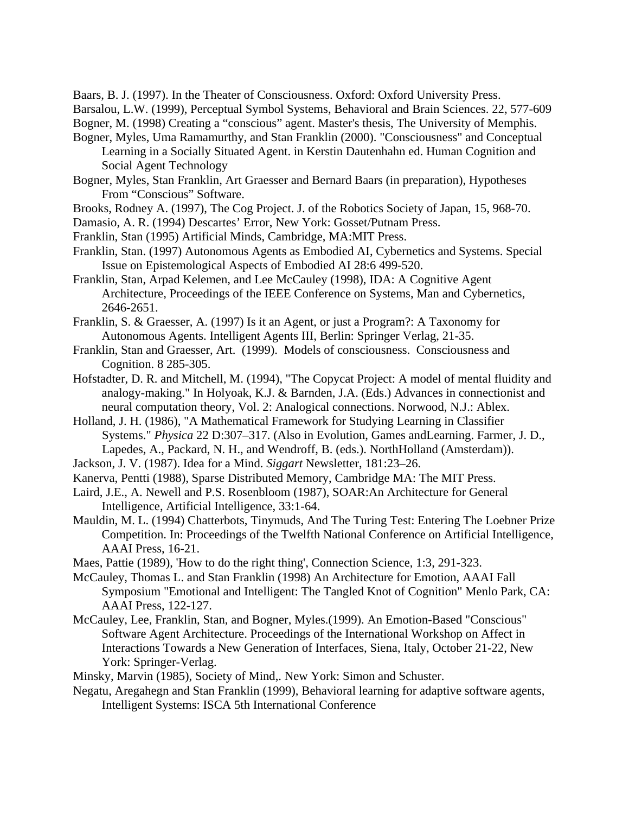Baars, B. J. (1997). In the Theater of Consciousness. Oxford: Oxford University Press.

Barsalou, L.W. (1999), Perceptual Symbol Systems, Behavioral and Brain Sciences. 22, 577-609

Bogner, M. (1998) Creating a "conscious" agent. Master's thesis, The University of Memphis.

- Bogner, Myles, Uma Ramamurthy, and Stan Franklin (2000). "Consciousness" and Conceptual Learning in a Socially Situated Agent. in Kerstin Dautenhahn ed. Human Cognition and Social Agent Technology
- Bogner, Myles, Stan Franklin, Art Graesser and Bernard Baars (in preparation), Hypotheses From "Conscious" Software.
- Brooks, Rodney A. (1997), The Cog Project. J. of the Robotics Society of Japan, 15, 968-70.
- Damasio, A. R. (1994) Descartes' Error, New York: Gosset/Putnam Press.
- Franklin, Stan (1995) Artificial Minds, Cambridge, MA:MIT Press.
- Franklin, Stan. (1997) Autonomous Agents as Embodied AI, Cybernetics and Systems. Special Issue on Epistemological Aspects of Embodied AI 28:6 499-520.
- Franklin, Stan, Arpad Kelemen, and Lee McCauley (1998), IDA: A Cognitive Agent Architecture, Proceedings of the IEEE Conference on Systems, Man and Cybernetics, 2646-2651.
- Franklin, S. & Graesser, A. (1997) Is it an Agent, or just a Program?: A Taxonomy for Autonomous Agents. Intelligent Agents III, Berlin: Springer Verlag, 21-35.
- Franklin, Stan and Graesser, Art. (1999). Models of consciousness. Consciousness and Cognition. 8 285-305.
- Hofstadter, D. R. and Mitchell, M. (1994), "The Copycat Project: A model of mental fluidity and analogy-making." In Holyoak, K.J. & Barnden, J.A. (Eds.) Advances in connectionist and neural computation theory, Vol. 2: Analogical connections. Norwood, N.J.: Ablex.
- Holland, J. H. (1986), "A Mathematical Framework for Studying Learning in Classifier Systems." *Physica* 22 D:307–317. (Also in Evolution, Games andLearning. Farmer, J. D., Lapedes, A., Packard, N. H., and Wendroff, B. (eds.). NorthHolland (Amsterdam)).
- Jackson, J. V. (1987). Idea for a Mind. *Siggart* Newsletter, 181:23–26.
- Kanerva, Pentti (1988), Sparse Distributed Memory, Cambridge MA: The MIT Press.
- Laird, J.E., A. Newell and P.S. Rosenbloom (1987), SOAR:An Architecture for General Intelligence, Artificial Intelligence, 33:1-64.
- Mauldin, M. L. (1994) Chatterbots, Tinymuds, And The Turing Test: Entering The Loebner Prize Competition. In: Proceedings of the Twelfth National Conference on Artificial Intelligence, AAAI Press, 16-21.
- Maes, Pattie (1989), 'How to do the right thing', Connection Science, 1:3, 291-323.
- McCauley, Thomas L. and Stan Franklin (1998) An Architecture for Emotion, AAAI Fall Symposium "Emotional and Intelligent: The Tangled Knot of Cognition" Menlo Park, CA: AAAI Press, 122-127.
- McCauley, Lee, Franklin, Stan, and Bogner, Myles.(1999). An Emotion-Based "Conscious" Software Agent Architecture. Proceedings of the International Workshop on Affect in Interactions Towards a New Generation of Interfaces, Siena, Italy, October 21-22, New York: Springer-Verlag.
- Minsky, Marvin (1985), Society of Mind,. New York: Simon and Schuster.
- Negatu, Aregahegn and Stan Franklin (1999), Behavioral learning for adaptive software agents, Intelligent Systems: ISCA 5th International Conference